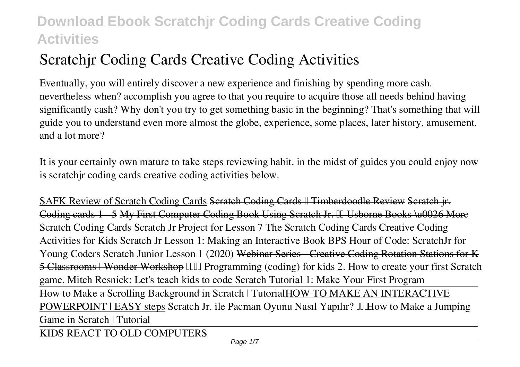# **Scratchjr Coding Cards Creative Coding Activities**

Eventually, you will entirely discover a new experience and finishing by spending more cash. nevertheless when? accomplish you agree to that you require to acquire those all needs behind having significantly cash? Why don't you try to get something basic in the beginning? That's something that will guide you to understand even more almost the globe, experience, some places, later history, amusement, and a lot more?

It is your certainly own mature to take steps reviewing habit. in the midst of guides you could enjoy now is **scratchjr coding cards creative coding activities** below.

SAFK Review of Scratch Coding Cards Scratch Coding Cards || Timberdoodle Review Scratch jr. Coding cards 1 - 5 My First Computer Coding Book Using Scratch Jr. III Usborne Books \u0026 More *Scratch Coding Cards Scratch Jr Project for Lesson 7* The Scratch Coding Cards Creative Coding Activities for Kids **Scratch Jr Lesson 1: Making an Interactive Book** *BPS Hour of Code: ScratchJr for Young Coders* Scratch Junior Lesson 1 (2020) Webinar Series - Creative Coding Rotation Stations for K 5 Classrooms | Wonder Workshop *IIIII* Programming (coding) for kids 2. How to create your first Scratch *game. Mitch Resnick: Let's teach kids to code Scratch Tutorial 1: Make Your First Program* How to Make a Scrolling Background in Scratch | TutorialHOW TO MAKE AN INTERACTIVE **POWERPOINT | EASY steps** Scratch Jr. ile Pacman Oyunu Nasıl Yapılır? IIIHow to Make a Jumping

*Game in Scratch | Tutorial*

KIDS REACT TO OLD COMPUTERS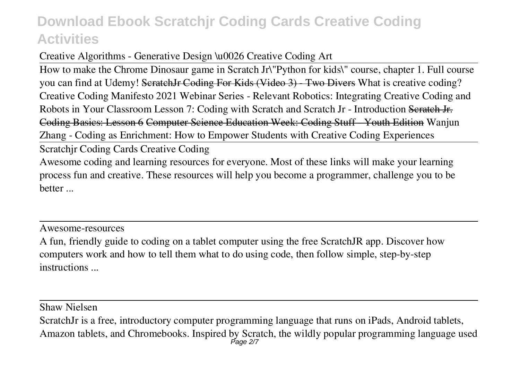#### Creative Algorithms - Generative Design \u0026 Creative Coding Art

How to make the Chrome Dinosaur game in Scratch Jr*\"Python for kids\" course, chapter 1. Full course* you can find at Udemy! SeratchJr Coding For Kids (Video 3) Two Divers What is creative coding? Creative Coding Manifesto 2021 *Webinar Series - Relevant Robotics: Integrating Creative Coding and Robots in Your Classroom Lesson 7: Coding with Scratch and Scratch Jr - Introduction* Scratch Jr. Coding Basics: Lesson 6 Computer Science Education Week: Coding Stuff - Youth Edition *Wanjun Zhang - Coding as Enrichment: How to Empower Students with Creative Coding Experiences*

Scratchjr Coding Cards Creative Coding

Awesome coding and learning resources for everyone. Most of these links will make your learning process fun and creative. These resources will help you become a programmer, challenge you to be better ...

Awesome-resources

A fun, friendly guide to coding on a tablet computer using the free ScratchJR app. Discover how computers work and how to tell them what to do using code, then follow simple, step-by-step instructions ...

Shaw Nielsen

ScratchJr is a free, introductory computer programming language that runs on iPads, Android tablets, Amazon tablets, and Chromebooks. Inspired by Scratch, the wildly popular programming language used Page 2/7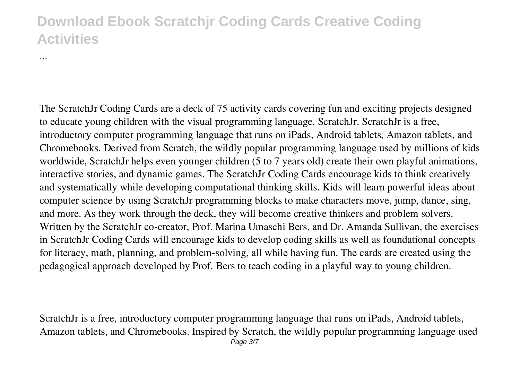...

The ScratchJr Coding Cards are a deck of 75 activity cards covering fun and exciting projects designed to educate young children with the visual programming language, ScratchJr. ScratchJr is a free, introductory computer programming language that runs on iPads, Android tablets, Amazon tablets, and Chromebooks. Derived from Scratch, the wildly popular programming language used by millions of kids worldwide, ScratchJr helps even younger children (5 to 7 years old) create their own playful animations, interactive stories, and dynamic games. The ScratchJr Coding Cards encourage kids to think creatively and systematically while developing computational thinking skills. Kids will learn powerful ideas about computer science by using ScratchJr programming blocks to make characters move, jump, dance, sing, and more. As they work through the deck, they will become creative thinkers and problem solvers. Written by the ScratchJr co-creator, Prof. Marina Umaschi Bers, and Dr. Amanda Sullivan, the exercises in ScratchJr Coding Cards will encourage kids to develop coding skills as well as foundational concepts for literacy, math, planning, and problem-solving, all while having fun. The cards are created using the pedagogical approach developed by Prof. Bers to teach coding in a playful way to young children.

ScratchJr is a free, introductory computer programming language that runs on iPads, Android tablets, Amazon tablets, and Chromebooks. Inspired by Scratch, the wildly popular programming language used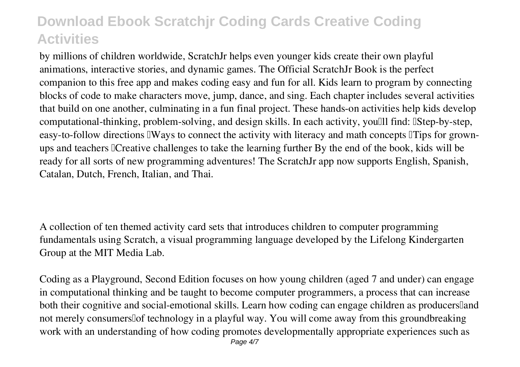by millions of children worldwide, ScratchJr helps even younger kids create their own playful animations, interactive stories, and dynamic games. The Official ScratchJr Book is the perfect companion to this free app and makes coding easy and fun for all. Kids learn to program by connecting blocks of code to make characters move, jump, dance, and sing. Each chapter includes several activities that build on one another, culminating in a fun final project. These hands-on activities help kids develop computational-thinking, problem-solving, and design skills. In each activity, you'll find: UStep-by-step, easy-to-follow directions IWays to connect the activity with literacy and math concepts ITips for grownups and teachers <sup>[</sup>Creative challenges to take the learning further By the end of the book, kids will be ready for all sorts of new programming adventures! The ScratchJr app now supports English, Spanish, Catalan, Dutch, French, Italian, and Thai.

A collection of ten themed activity card sets that introduces children to computer programming fundamentals using Scratch, a visual programming language developed by the Lifelong Kindergarten Group at the MIT Media Lab.

Coding as a Playground, Second Edition focuses on how young children (aged 7 and under) can engage in computational thinking and be taught to become computer programmers, a process that can increase both their cognitive and social-emotional skills. Learn how coding can engage children as producers[land] not merely consumers of technology in a playful way. You will come away from this groundbreaking work with an understanding of how coding promotes developmentally appropriate experiences such as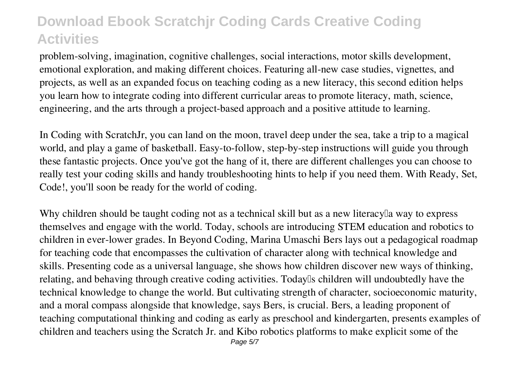problem-solving, imagination, cognitive challenges, social interactions, motor skills development, emotional exploration, and making different choices. Featuring all-new case studies, vignettes, and projects, as well as an expanded focus on teaching coding as a new literacy, this second edition helps you learn how to integrate coding into different curricular areas to promote literacy, math, science, engineering, and the arts through a project-based approach and a positive attitude to learning.

In Coding with ScratchJr, you can land on the moon, travel deep under the sea, take a trip to a magical world, and play a game of basketball. Easy-to-follow, step-by-step instructions will guide you through these fantastic projects. Once you've got the hang of it, there are different challenges you can choose to really test your coding skills and handy troubleshooting hints to help if you need them. With Ready, Set, Code!, you'll soon be ready for the world of coding.

Why children should be taught coding not as a technical skill but as a new literacy a way to express themselves and engage with the world. Today, schools are introducing STEM education and robotics to children in ever-lower grades. In Beyond Coding, Marina Umaschi Bers lays out a pedagogical roadmap for teaching code that encompasses the cultivation of character along with technical knowledge and skills. Presenting code as a universal language, she shows how children discover new ways of thinking, relating, and behaving through creative coding activities. Today<sup>[]</sup> children will undoubtedly have the technical knowledge to change the world. But cultivating strength of character, socioeconomic maturity, and a moral compass alongside that knowledge, says Bers, is crucial. Bers, a leading proponent of teaching computational thinking and coding as early as preschool and kindergarten, presents examples of children and teachers using the Scratch Jr. and Kibo robotics platforms to make explicit some of the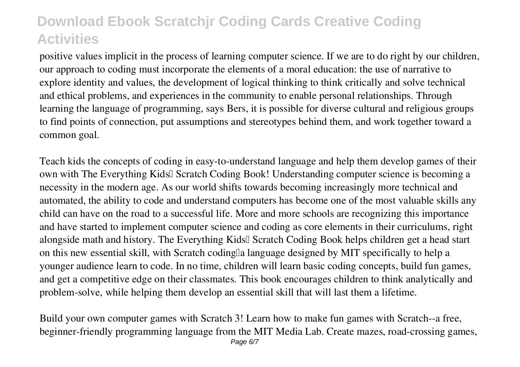positive values implicit in the process of learning computer science. If we are to do right by our children, our approach to coding must incorporate the elements of a moral education: the use of narrative to explore identity and values, the development of logical thinking to think critically and solve technical and ethical problems, and experiences in the community to enable personal relationships. Through learning the language of programming, says Bers, it is possible for diverse cultural and religious groups to find points of connection, put assumptions and stereotypes behind them, and work together toward a common goal.

Teach kids the concepts of coding in easy-to-understand language and help them develop games of their own with The Everything Kids<sup>[]</sup> Scratch Coding Book! Understanding computer science is becoming a necessity in the modern age. As our world shifts towards becoming increasingly more technical and automated, the ability to code and understand computers has become one of the most valuable skills any child can have on the road to a successful life. More and more schools are recognizing this importance and have started to implement computer science and coding as core elements in their curriculums, right alongside math and history. The Everything Kids<sup>[]</sup> Scratch Coding Book helps children get a head start on this new essential skill, with Scratch coding a language designed by MIT specifically to help a younger audience learn to code. In no time, children will learn basic coding concepts, build fun games, and get a competitive edge on their classmates. This book encourages children to think analytically and problem-solve, while helping them develop an essential skill that will last them a lifetime.

Build your own computer games with Scratch 3! Learn how to make fun games with Scratch--a free, beginner-friendly programming language from the MIT Media Lab. Create mazes, road-crossing games,